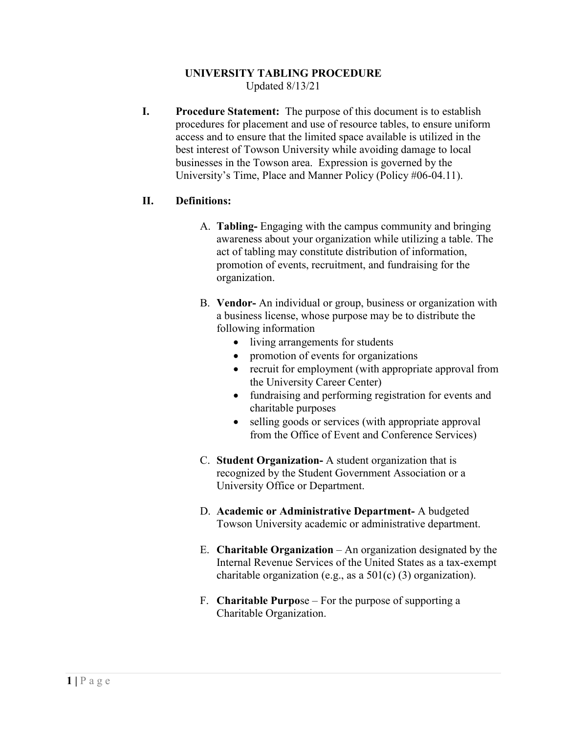#### **UNIVERSITY TABLING PROCEDURE** Updated 8/13/21

**I. Procedure Statement:** The purpose of this document is to establish procedures for placement and use of resource tables, to ensure uniform access and to ensure that the limited space available is utilized in the best interest of Towson University while avoiding damage to local businesses in the Towson area. Expression is governed by the University's Time, Place and Manner Policy (Policy #06-04.11).

# **II. Definitions:**

- A. **Tabling-** Engaging with the campus community and bringing awareness about your organization while utilizing a table. The act of tabling may constitute distribution of information, promotion of events, recruitment, and fundraising for the organization.
- B. **Vendor-** An individual or group, business or organization with a business license, whose purpose may be to distribute the following information
	- living arrangements for students
	- promotion of events for organizations
	- recruit for employment (with appropriate approval from the University Career Center)
	- fundraising and performing registration for events and charitable purposes
	- selling goods or services (with appropriate approval from the Office of Event and Conference Services)
- C. **Student Organization-** A student organization that is recognized by the Student Government Association or a University Office or Department.
- D. **Academic or Administrative Department-** A budgeted Towson University academic or administrative department.
- E. **Charitable Organization** An organization designated by the Internal Revenue Services of the United States as a tax-exempt charitable organization (e.g., as a 501(c) (3) organization).
- F. **Charitable Purpo**se For the purpose of supporting a Charitable Organization.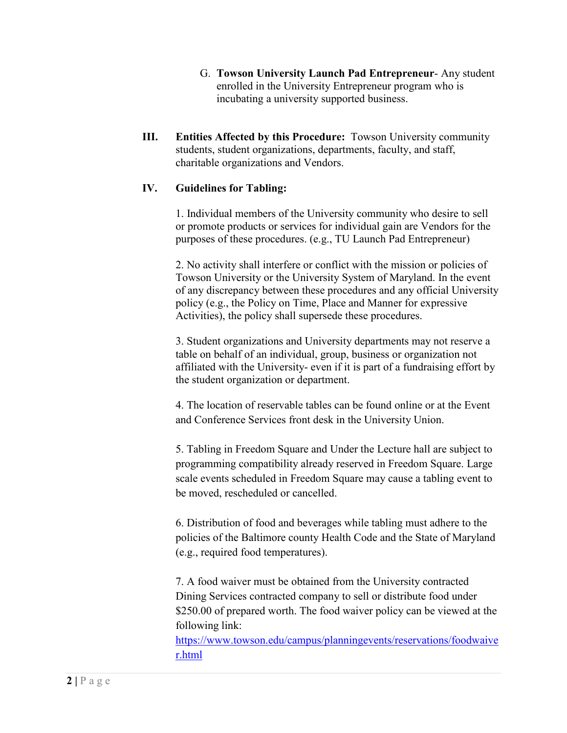- G. **Towson University Launch Pad Entrepreneur** Any student enrolled in the University Entrepreneur program who is incubating a university supported business.
- **III. Entities Affected by this Procedure:** Towson University community students, student organizations, departments, faculty, and staff, charitable organizations and Vendors.

### **IV. Guidelines for Tabling:**

1. Individual members of the University community who desire to sell or promote products or services for individual gain are Vendors for the purposes of these procedures. (e.g., TU Launch Pad Entrepreneur)

2. No activity shall interfere or conflict with the mission or policies of Towson University or the University System of Maryland. In the event of any discrepancy between these procedures and any official University policy (e.g., the Policy on Time, Place and Manner for expressive Activities), the policy shall supersede these procedures.

3. Student organizations and University departments may not reserve a table on behalf of an individual, group, business or organization not affiliated with the University- even if it is part of a fundraising effort by the student organization or department.

4. The location of reservable tables can be found online or at the Event and Conference Services front desk in the University Union.

5. Tabling in Freedom Square and Under the Lecture hall are subject to programming compatibility already reserved in Freedom Square. Large scale events scheduled in Freedom Square may cause a tabling event to be moved, rescheduled or cancelled.

6. Distribution of food and beverages while tabling must adhere to the policies of the Baltimore county Health Code and the State of Maryland (e.g., required food temperatures).

7. A food waiver must be obtained from the University contracted Dining Services contracted company to sell or distribute food under \$250.00 of prepared worth. The food waiver policy can be viewed at the following link:

[https://www.towson.edu/campus/planningevents/reservations/foodwaive](https://www.towson.edu/campus/planningevents/reservations/foodwaiver.html) [r.html](https://www.towson.edu/campus/planningevents/reservations/foodwaiver.html)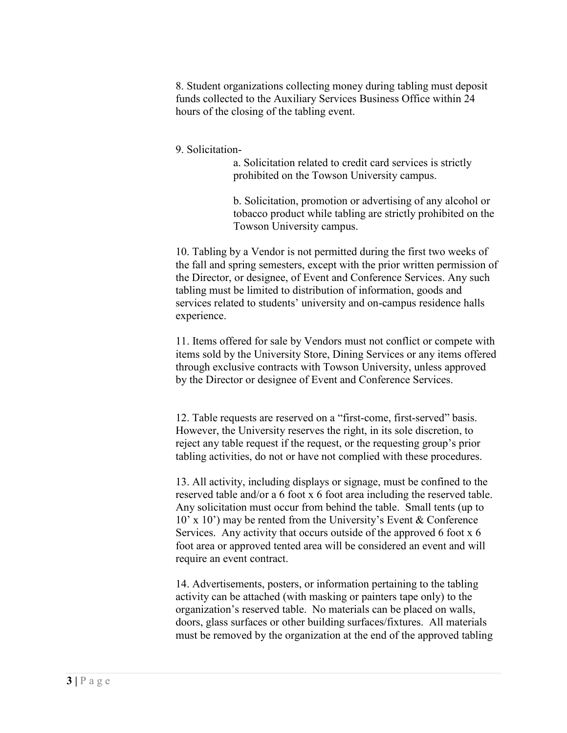8. Student organizations collecting money during tabling must deposit funds collected to the Auxiliary Services Business Office within 24 hours of the closing of the tabling event.

### 9. Solicitation-

a. Solicitation related to credit card services is strictly prohibited on the Towson University campus.

b. Solicitation, promotion or advertising of any alcohol or tobacco product while tabling are strictly prohibited on the Towson University campus.

10. Tabling by a Vendor is not permitted during the first two weeks of the fall and spring semesters, except with the prior written permission of the Director, or designee, of Event and Conference Services. Any such tabling must be limited to distribution of information, goods and services related to students' university and on-campus residence halls experience.

11. Items offered for sale by Vendors must not conflict or compete with items sold by the University Store, Dining Services or any items offered through exclusive contracts with Towson University, unless approved by the Director or designee of Event and Conference Services.

12. Table requests are reserved on a "first-come, first-served" basis. However, the University reserves the right, in its sole discretion, to reject any table request if the request, or the requesting group's prior tabling activities, do not or have not complied with these procedures.

13. All activity, including displays or signage, must be confined to the reserved table and/or a 6 foot x 6 foot area including the reserved table. Any solicitation must occur from behind the table. Small tents (up to 10' x 10') may be rented from the University's Event & Conference Services. Any activity that occurs outside of the approved 6 foot x 6 foot area or approved tented area will be considered an event and will require an event contract.

14. Advertisements, posters, or information pertaining to the tabling activity can be attached (with masking or painters tape only) to the organization's reserved table. No materials can be placed on walls, doors, glass surfaces or other building surfaces/fixtures. All materials must be removed by the organization at the end of the approved tabling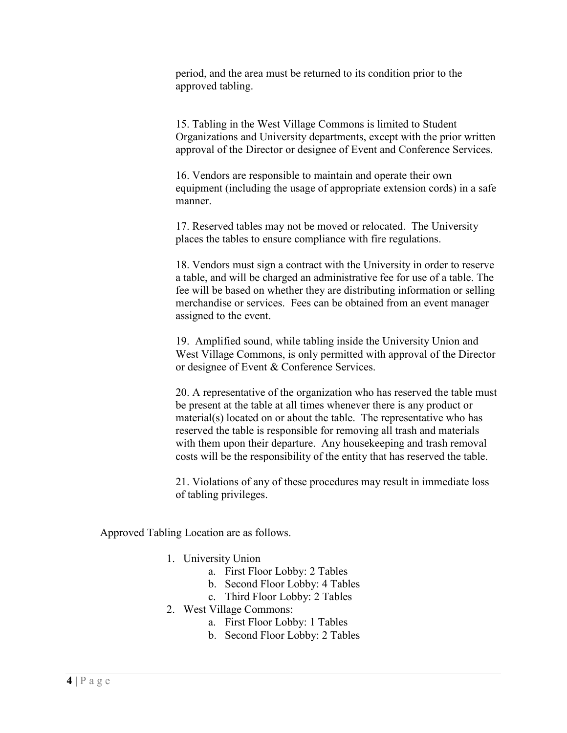period, and the area must be returned to its condition prior to the approved tabling.

15. Tabling in the West Village Commons is limited to Student Organizations and University departments, except with the prior written approval of the Director or designee of Event and Conference Services.

16. Vendors are responsible to maintain and operate their own equipment (including the usage of appropriate extension cords) in a safe manner.

17. Reserved tables may not be moved or relocated. The University places the tables to ensure compliance with fire regulations.

18. Vendors must sign a contract with the University in order to reserve a table, and will be charged an administrative fee for use of a table. The fee will be based on whether they are distributing information or selling merchandise or services. Fees can be obtained from an event manager assigned to the event.

19. Amplified sound, while tabling inside the University Union and West Village Commons, is only permitted with approval of the Director or designee of Event & Conference Services.

20. A representative of the organization who has reserved the table must be present at the table at all times whenever there is any product or material(s) located on or about the table. The representative who has reserved the table is responsible for removing all trash and materials with them upon their departure. Any housekeeping and trash removal costs will be the responsibility of the entity that has reserved the table.

21. Violations of any of these procedures may result in immediate loss of tabling privileges.

Approved Tabling Location are as follows.

- 1. University Union
	- a. First Floor Lobby: 2 Tables
	- b. Second Floor Lobby: 4 Tables
	- c. Third Floor Lobby: 2 Tables
- 2. West Village Commons:
	- a. First Floor Lobby: 1 Tables
	- b. Second Floor Lobby: 2 Tables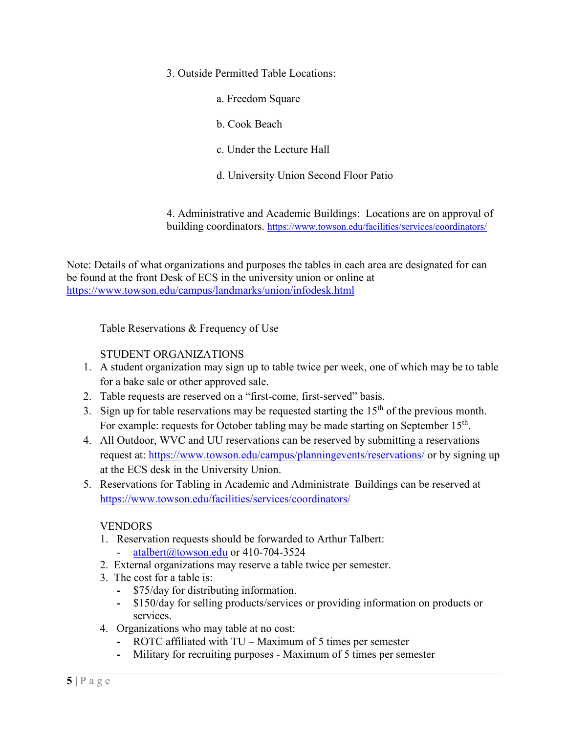- 3. Outside Permitted Table Locations:
	- a. Freedom Square
	- b. Cook Beach
	- c. Under the Lecture Hall
	- d. University Union Second Floor Patio

4. Administrative and Academic Buildings: Locations are on approval of building coordinators.<https://www.towson.edu/facilities/services/coordinators/>

Note: Details of what organizations and purposes the tables in each area are designated for can be found at the front Desk of ECS in the university union or online at <https://www.towson.edu/campus/landmarks/union/infodesk.html>

Table Reservations & Frequency of Use

# STUDENT ORGANIZATIONS

- 1. A student organization may sign up to table twice per week, one of which may be to table for a bake sale or other approved sale.
- 2. Table requests are reserved on a "first-come, first-served" basis.
- 3. Sign up for table reservations may be requested starting the  $15<sup>th</sup>$  of the previous month. For example: requests for October tabling may be made starting on September 15<sup>th</sup>.
- 4. All Outdoor, WVC and UU reservations can be reserved by submitting a reservations request at:<https://www.towson.edu/campus/planningevents/reservations/> or by signing up at the ECS desk in the University Union.
- 5. Reservations for Tabling in Academic and Administrate Buildings can be reserved at <https://www.towson.edu/facilities/services/coordinators/>

# VENDORS

- 1. Reservation requests should be forwarded to Arthur Talbert:
	- [atalbert@towson.edu](mailto:atalbert@towson.edu) or 410-704-3524
- 2. External organizations may reserve a table twice per semester.
- 3. The cost for a table is:
	- **-** \$75/day for distributing information.
	- **-** \$150/day for selling products/services or providing information on products or services.
- 4. Organizations who may table at no cost:
	- **-** ROTC affiliated with TU Maximum of 5 times per semester
	- **-** Military for recruiting purposes Maximum of 5 times per semester